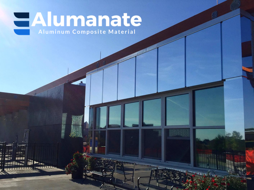# Aluminum Composite Material

a di in Sila

医胃道复数毒素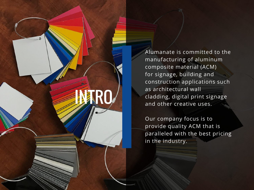

Alumanate is committed to the manufacturing of aluminum composite material (ACM) for signage, building and construction applications such as architectural wall cladding, digital print signage and other creative uses.

Our company focus is to provide quality ACM that is paralleled with the best pricing in the industry.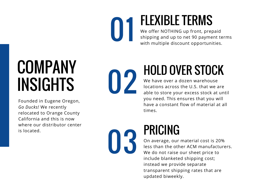01 FLEXIBLE TERMS We offer NOTHING up front, prepaid shipping and up to net 90 payment terms with multiple discount opportunities.

## COMPANY INSIGHTS

Founded in Eugene Oregon, *Go Ducks!* We recently relocated to Orange County California and this is now where our distributor center is located.



### HOLD OVER STOCK

We have over a dozen warehouse locations across the U.S. that we are able to store your excess stock at until you need. This ensures that you will have a constant flow of material at all times.

### PRICING 03

On average, our material cost is 20% less than the other ACM manufacturers. We do not raise our sheet price to include blanketed shipping cost; instead we provide separate transparent shipping rates that are updated biweekly.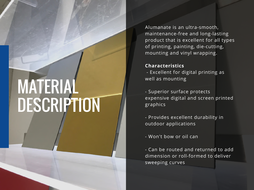#### Alumanate is an ultra-smooth, maintenance-free and long-lasting product that is excellent for all types of printing, painting, die-cutting, mounting and vinyl wrapping.

#### **Characteristics**

MATERIAL

DESCRIPTION

- Excellent for digital printing as well as mounting

- Superior surface protects expensive digital and screen printed graphics

- Provides excellent durability in outdoor applications

- Won't bow or oil can

- Can be routed and returned to add dimension or roll-formed to deliver sweeping curves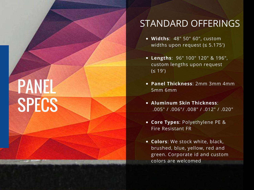# PANEL SPECS

### STANDARD OFFERINGS

- **Widths**: 48" 50" 60", custom widths upon request (≤ 5.175')
- **Lengths**: 96" 100" 120" & 196", custom lengths upon request (≤ 19')
- **Panel Thickness**: 2mm 3mm 4mm 5mm 6mm
- **Aluminum Skin Thickness**: .005" / .006"/ .008" / .012" / .020"
- **Core Types**: Polyethylene PE & Fire Resistant FR
- **Colors**: We stock white, black, brushed, blue, yellow, red and green. Corporate id and custom colors are welcomed